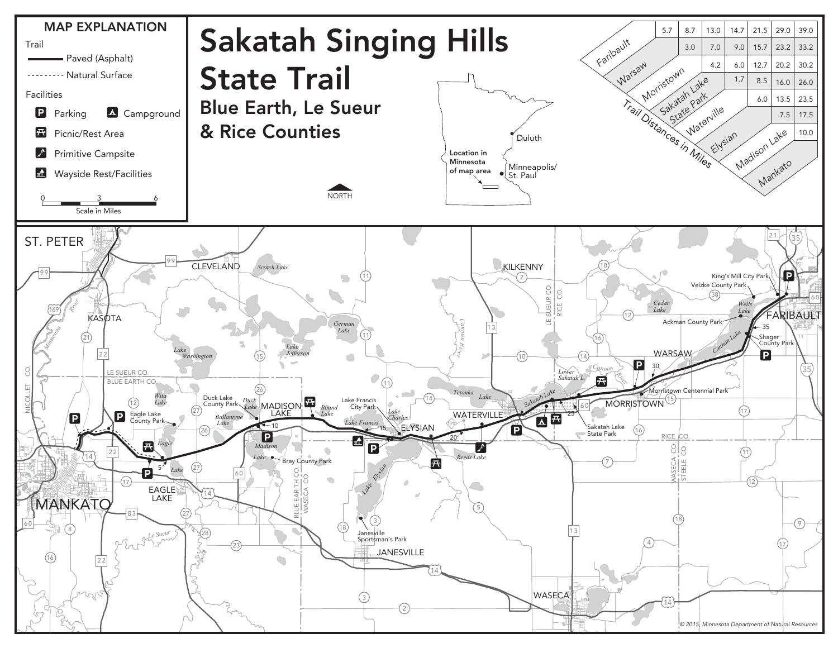